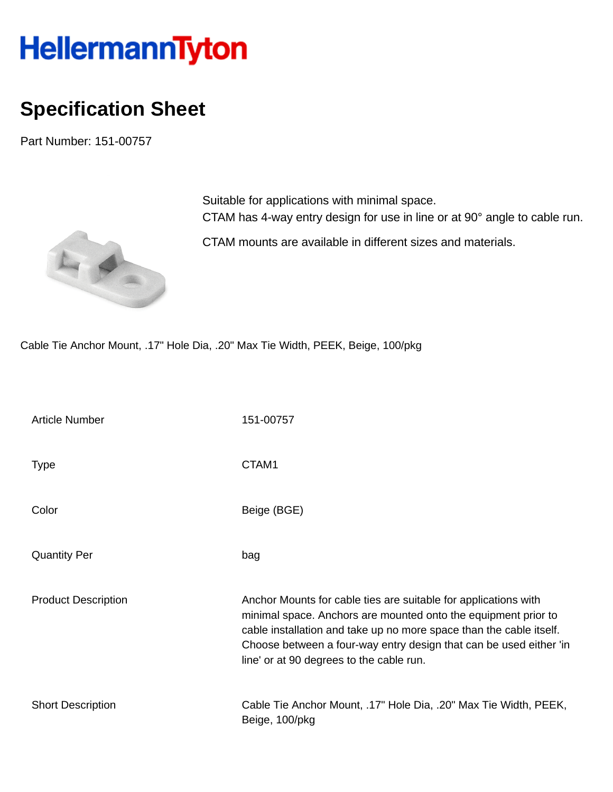## HellermannTyton

## **Specification Sheet**

Part Number: 151-00757



Suitable for applications with minimal space. CTAM has 4-way entry design for use in line or at 90° angle to cable run.

CTAM mounts are available in different sizes and materials.

Cable Tie Anchor Mount, .17" Hole Dia, .20" Max Tie Width, PEEK, Beige, 100/pkg

| <b>Article Number</b>      | 151-00757                                                                                                                                                                                                                                                                                                                  |
|----------------------------|----------------------------------------------------------------------------------------------------------------------------------------------------------------------------------------------------------------------------------------------------------------------------------------------------------------------------|
| <b>Type</b>                | CTAM1                                                                                                                                                                                                                                                                                                                      |
| Color                      | Beige (BGE)                                                                                                                                                                                                                                                                                                                |
| <b>Quantity Per</b>        | bag                                                                                                                                                                                                                                                                                                                        |
| <b>Product Description</b> | Anchor Mounts for cable ties are suitable for applications with<br>minimal space. Anchors are mounted onto the equipment prior to<br>cable installation and take up no more space than the cable itself.<br>Choose between a four-way entry design that can be used either 'in<br>line' or at 90 degrees to the cable run. |
| <b>Short Description</b>   | Cable Tie Anchor Mount, .17" Hole Dia, .20" Max Tie Width, PEEK,<br>Beige, 100/pkg                                                                                                                                                                                                                                         |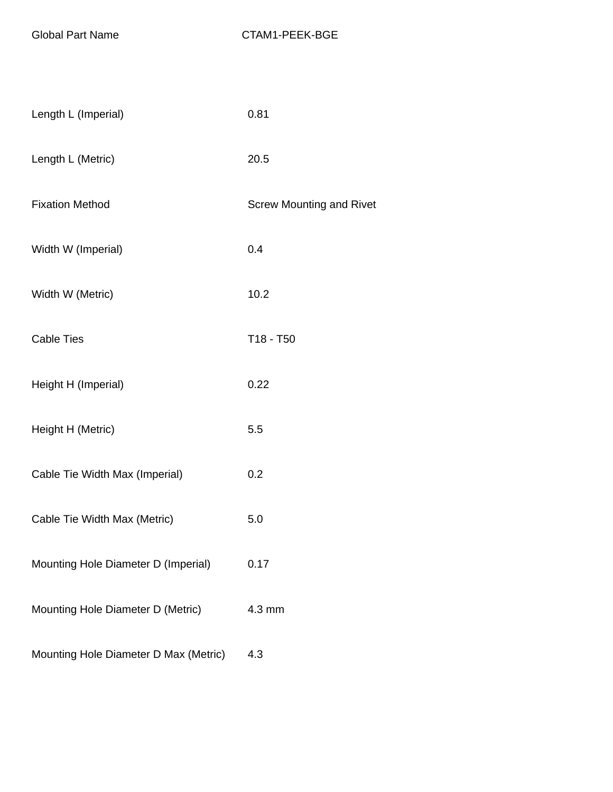| Length L (Imperial)                   | 0.81                            |
|---------------------------------------|---------------------------------|
| Length L (Metric)                     | 20.5                            |
| <b>Fixation Method</b>                | <b>Screw Mounting and Rivet</b> |
| Width W (Imperial)                    | 0.4                             |
| Width W (Metric)                      | 10.2                            |
| <b>Cable Ties</b>                     | T18 - T50                       |
| Height H (Imperial)                   | 0.22                            |
| Height H (Metric)                     | 5.5                             |
| Cable Tie Width Max (Imperial)        | 0.2                             |
| Cable Tie Width Max (Metric)          | 5.0                             |
| Mounting Hole Diameter D (Imperial)   | 0.17                            |
| Mounting Hole Diameter D (Metric)     | 4.3 mm                          |
| Mounting Hole Diameter D Max (Metric) | 4.3                             |